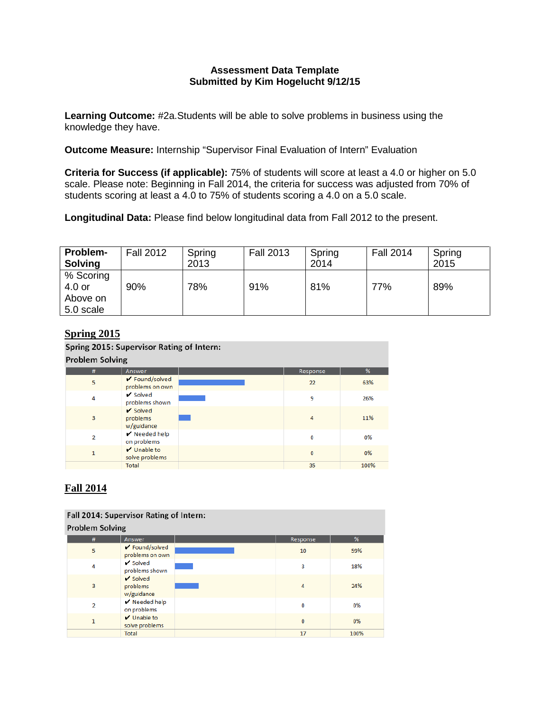# **Assessment Data Template Submitted by Kim Hogelucht 9/12/15**

**Learning Outcome:** #2a.Students will be able to solve problems in business using the knowledge they have.

**Outcome Measure:** Internship "Supervisor Final Evaluation of Intern" Evaluation

**Criteria for Success (if applicable):** 75% of students will score at least a 4.0 or higher on 5.0 scale. Please note: Beginning in Fall 2014, the criteria for success was adjusted from 70% of students scoring at least a 4.0 to 75% of students scoring a 4.0 on a 5.0 scale.

**Longitudinal Data:** Please find below longitudinal data from Fall 2012 to the present.

| Problem-<br><b>Solving</b>                   | <b>Fall 2012</b> | Spring<br>2013 | <b>Fall 2013</b> | Spring<br>2014 | <b>Fall 2014</b> | Spring<br>2015 |
|----------------------------------------------|------------------|----------------|------------------|----------------|------------------|----------------|
| % Scoring<br>4.0 or<br>Above on<br>5.0 scale | 90%              | 78%            | 91%              | 81%            | 77%              | 89%            |

# **Spring 2015**

Spring 2015: Supervisor Rating of Intern:

| <b>Proplem Solving</b> |                                                  |  |              |      |  |  |
|------------------------|--------------------------------------------------|--|--------------|------|--|--|
| #                      | Answer                                           |  | Response     | %    |  |  |
| 5                      | ✔ Found/solved<br>problems on own                |  | 22           | 63%  |  |  |
| 4                      | $\checkmark$ Solved<br>problems shown            |  | 9            | 26%  |  |  |
| 3                      | $\checkmark$ Solved<br>problems<br>w/guidance    |  | 4            | 11%  |  |  |
| 2                      | $\blacktriangleright$ Needed help<br>on problems |  | 0            | 0%   |  |  |
| $\mathbf{1}$           | V Unable to<br>solve problems                    |  | $\mathbf{0}$ | 0%   |  |  |
|                        | <b>Total</b>                                     |  | 35           | 100% |  |  |

# **Fall 2014**

| Fall 2014: Supervisor Rating of Intern: |                                              |  |          |      |  |  |  |
|-----------------------------------------|----------------------------------------------|--|----------|------|--|--|--|
| <b>Problem Solving</b>                  |                                              |  |          |      |  |  |  |
| #                                       | Answer                                       |  | Response | %    |  |  |  |
| 5                                       | ✔ Found/solved<br>problems on own            |  | 10       | 59%  |  |  |  |
| 4                                       | $\checkmark$ Solved<br>problems shown        |  | 3        | 18%  |  |  |  |
| 3                                       | $\sqrt{\ }$ Solved<br>problems<br>w/guidance |  | 4        | 24%  |  |  |  |
| $\overline{2}$                          | $\sqrt{}$ Needed help<br>on problems         |  | 0        | 0%   |  |  |  |
| $\mathbf{1}$                            | $\sqrt{}$ Unable to<br>solve problems        |  | $\bf{0}$ | 0%   |  |  |  |
|                                         | Total                                        |  | 17       | 100% |  |  |  |